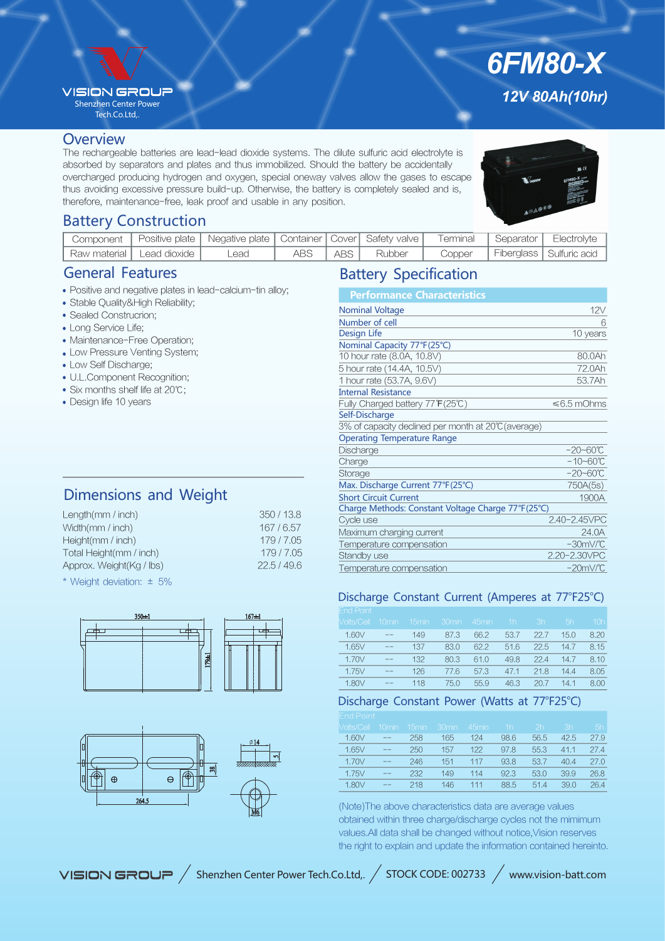#### **VISION GROUR**

Shenzhen Center Power Tech.Co.Ltd,.

#### **Overview**

The rechargeable batteries are lead-lead dioxide systems. The dilute sulfuric acid electrolyte is absorbed by separators and plates and thus immobilized. Should the battery be accidentally overcharged producing hydrogen and oxygen, special oneway valves allow the gases to escape thus avoiding excessive pressure build-up. Otherwise, the battery is completely sealed and is, therefore, maintenance-free, leak proof and usable in any position.



*6FM80-X*

*12V 80Ah(10hr)*

# Battery Construction

| Component |                              | Positive plate   Negative plate   Container   Cover   Safety valve |       |        | Terminal | Separator | Electrolvte                |
|-----------|------------------------------|--------------------------------------------------------------------|-------|--------|----------|-----------|----------------------------|
|           | `Raw material   Lead dioxide | _ead                                                               | ABS I | Rubber | Copper   |           | Fiberglass   Sulfuric acid |

## General Features

- Positive and negative plates in lead-calcium-tin alloy;
- Stable Quality&High Reliability;
- Sealed Construcrion;
- Long Service Life;
- Maintenance-Free Operation;
- Low Pressure Venting System;
- Low Self Discharge;
- U.L.Component Recognition;
- Six months shelf life at 20℃;
- Design life 10 years

# Dimensions and Weight

| 350/13.8<br>Length( $mm / inch$ )     |  |
|---------------------------------------|--|
| 167/6.57<br>Width(mm / inch)          |  |
| 179/7.05<br>Height(mm / inch)         |  |
| 179/7.05<br>Total Height(mm / inch)   |  |
| 22.5/49.6<br>Approx. Weight(Kg / lbs) |  |

\* Weight deviation: ± 5%





## Battery Specification

| <b>Performance Characteristics</b>                  |                      |
|-----------------------------------------------------|----------------------|
| <b>Nominal Voltage</b>                              | 12V                  |
| Number of cell                                      | 6                    |
| Design Life                                         | 10 years             |
| Nominal Capacity 77°F(25°C)                         |                      |
| 10 hour rate (8.0A, 10.8V)                          | 80.0Ah               |
| 5 hour rate (14.4A, 10.5V)                          | 72.0Ah               |
| 1 hour rate (53.7A, 9.6V)                           | 53.7Ah               |
| <b>Internal Resistance</b>                          |                      |
| Fully Charged battery 77°F(25℃)                     | $\leq 6.5$ mOhms     |
| Self-Discharge                                      |                      |
| 3% of capacity declined per month at 20°C (average) |                      |
| <b>Operating Temperature Range</b>                  |                      |
| Discharge                                           | $-20 - 60^{\circ}C$  |
| Charge                                              | $-10 - 60^{\circ}C$  |
| Storage                                             | $-20 - 60^{\circ}C$  |
| Max. Discharge Current 77°F(25°C)                   | 750A(5s)             |
| <b>Short Circuit Current</b>                        | 1900A                |
| Charge Methods: Constant Voltage Charge 77°F(25°C)  |                      |
| Cycle use                                           | 2.40-2.45VPC         |
| Maximum charging current                            | 24.0A                |
| Temperature compensation                            | $-30mV$ <sup>C</sup> |
| Standby use                                         | 2.20-2.30VPC         |
| Temperature compensation                            | $-20$ m $V$ /°C      |

#### Discharge Constant Current (Amperes at 77°F25°C)

| <b>End Point</b>  |                   |                   |                   |                   |      |      |      |                 |
|-------------------|-------------------|-------------------|-------------------|-------------------|------|------|------|-----------------|
| <b>Volts/Cell</b> | 10 <sub>min</sub> | 15 <sub>min</sub> | 30 <sub>min</sub> | 45 <sub>min</sub> | 1h   | 3h   | 5h   | 10 <sub>h</sub> |
| 1.60V             | $- -$             | 149               | 87.3              | 66.2              | 53.7 | 22.7 | 15.0 | 8.20            |
| 1.65V             | $- -$             | 137               | 83.0              | 62.2              | 51.6 | 22.5 | 14.7 | 8.15            |
| 1.70V             | $- -$             | 132               | 80.3              | 61.0              | 49.8 | 224  | 14.7 | 8.10            |
| 1.75V             | $- -$             | 126               | 77.6              | 57.3              | 47.1 | 21.8 | 14.4 | 8.05            |
| 1.80V             | $- -$             | 118               | 75.0              | 55.9              | 46.3 | 20.7 | 14.1 | 8.00            |

### Discharge Constant Power (Watts at 77°F25°C)

| <b>Nolts/Cell</b> | 10 <sub>min</sub> | 15 <sub>min</sub> | 30 <sub>min</sub> | 45min | 1h   | 2 <sub>h</sub> | 3h   | 5h   |
|-------------------|-------------------|-------------------|-------------------|-------|------|----------------|------|------|
| 1.60V             | $- -$             | 258               | 165               | 124   | 98.6 | 56.5           | 42.5 | 27.9 |
| 1.65V             | $- -$             | 250               | 157               | 122   | 97.8 | 55.3           | 41.1 | 27.4 |
| 1.70V             | $- -$             | 246               | 151               | 117   | 93.8 | 53.7           | 40.4 | 27.0 |
| 1.75V             | $- -$             | 232               | 149               | 114   | 92.3 | 53.0           | 39.9 | 26.8 |
| 1.80V             | $- -$             | 218               | 146               | 111   | 88.5 | 514            | 39.0 | 26.4 |
|                   |                   |                   |                   |       |      |                |      |      |

(Note)The above characteristics data are average values obtained within three charge/discharge cycles not the mimimum values.All data shall be changed without notice,Vision reserves the right to explain and update the information contained hereinto.

VISION GROUP / Shenzhen Center Power Tech.Co.Ltd,. / STOCK CODE: 002733 / www.vision-batt.com